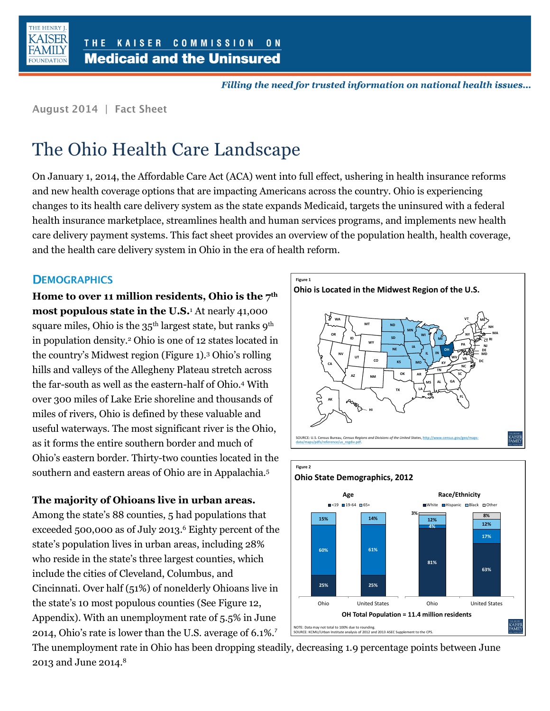

Filling the need for trusted information on national health issues...

August 2014 | Fact Sheet

# The Ohio Health Care Landscape

On January 1, 2014, the Affordable Care Act (ACA) went into full effect, ushering in health insurance reforms and new health coverage options that are impacting Americans across the country. Ohio is experiencing changes to its health care delivery system as the state expands Medicaid, targets the uninsured with a federal health insurance marketplace, streamlines health and human services programs, and implements new health care delivery payment systems. This fact sheet provides an overview of the population health, health coverage, and the health care delivery system in Ohio in the era of health reform.

### **DEMOGRAPHICS**

**Home to over 11 million residents, Ohio is the 7th most populous state in the U.S.**<sup>1</sup> At nearly 41,000 square miles, Ohio is the 35<sup>th</sup> largest state, but ranks 9<sup>th</sup> in population density.<sup>2</sup> Ohio is one of 12 states located in the country's Midwest region (Figure 1).<sup>3</sup> Ohio's rolling hills and valleys of the Allegheny Plateau stretch across the far-south as well as the eastern-half of Ohio.<sup>4</sup> With over 300 miles of Lake Erie shoreline and thousands of miles of rivers, Ohio is defined by these valuable and useful waterways. The most significant river is the Ohio, as it forms the entire southern border and much of Ohio's eastern border. Thirty-two counties located in the southern and eastern areas of Ohio are in Appalachia.<sup>5</sup>

**The majority of Ohioans live in urban areas.** 

Among the state's 88 counties, 5 had populations that exceeded 500,000 as of July 2013. <sup>6</sup> Eighty percent of the state's population lives in urban areas, including 28% who reside in the state's three largest counties, which include the cities of Cleveland, Columbus, and Cincinnati. Over half (51%) of nonelderly Ohioans live in the state's 10 most populous counties (See Figure 12, Appendix). With an unemployment rate of 5.5% in June 2014, Ohio's rate is lower than the U.S. average of 6.1%.<sup>7</sup>





The unemployment rate in Ohio has been dropping steadily, decreasing 1.9 percentage points between June 2013 and June 2014. 8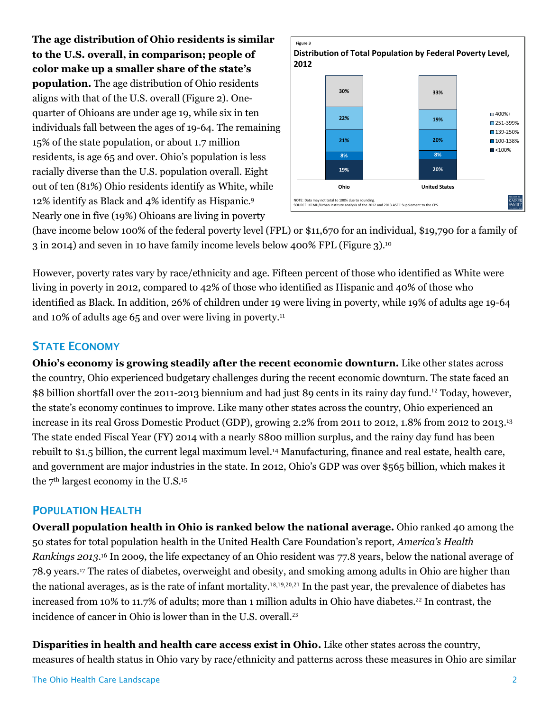**The age distribution of Ohio residents is similar to the U.S. overall, in comparison; people of color make up a smaller share of the state's population.** The age distribution of Ohio residents aligns with that of the U.S. overall (Figure 2). Onequarter of Ohioans are under age 19, while six in ten individuals fall between the ages of 19-64. The remaining 15% of the state population, or about 1.7 million residents, is age 65 and over. Ohio's population is less racially diverse than the U.S. population overall. Eight out of ten (81%) Ohio residents identify as White, while 12% identify as Black and 4% identify as Hispanic.<sup>9</sup> Nearly one in five (19%) Ohioans are living in poverty



(have income below 100% of the federal poverty level (FPL) or \$11,670 for an individual, \$19,790 for a family of 3 in 2014) and seven in 10 have family income levels below 400% FPL (Figure 3).<sup>10</sup>

However, poverty rates vary by race/ethnicity and age. Fifteen percent of those who identified as White were living in poverty in 2012, compared to 42% of those who identified as Hispanic and 40% of those who identified as Black. In addition, 26% of children under 19 were living in poverty, while 19% of adults age 19-64 and 10% of adults age 65 and over were living in poverty. 11

### **STATE ECONOMY**

**Ohio's economy is growing steadily after the recent economic downturn.** Like other states across the country, Ohio experienced budgetary challenges during the recent economic downturn. The state faced an \$8 billion shortfall over the 2011-2013 biennium and had just 89 cents in its rainy day fund.<sup>12</sup> Today, however, the state's economy continues to improve. Like many other states across the country, Ohio experienced an increase in its real Gross Domestic Product (GDP), growing 2.2% from 2011 to 2012, 1.8% from 2012 to 2013. 13 The state ended Fiscal Year (FY) 2014 with a nearly \$800 million surplus, and the rainy day fund has been rebuilt to \$1.5 billion, the current legal maximum level. <sup>14</sup> Manufacturing, finance and real estate, health care, and government are major industries in the state. In 2012, Ohio's GDP was over \$565 billion, which makes it the 7<sup>th</sup> largest economy in the U.S.<sup>15</sup>

### **POPULATION HEALTH**

**Overall population health in Ohio is ranked below the national average.** Ohio ranked 40 among the 50 states for total population health in the United Health Care Foundation's report, *America's Health Rankings 2013*. <sup>16</sup> In 20o9, the life expectancy of an Ohio resident was 77.8 years, below the national average of 78.9 years.<sup>17</sup> The rates of diabetes, overweight and obesity, and smoking among adults in Ohio are higher than the national averages, as is the rate of infant mortality.<sup>18,19,20,21</sup> In the past year, the prevalence of diabetes has increased from 10% to 11.7% of adults; more than 1 million adults in Ohio have diabetes.<sup>22</sup> In contrast, the incidence of cancer in Ohio is lower than in the U.S. overall.<sup>23</sup>

**Disparities in health and health care access exist in Ohio.** Like other states across the country, measures of health status in Ohio vary by race/ethnicity and patterns across these measures in Ohio are similar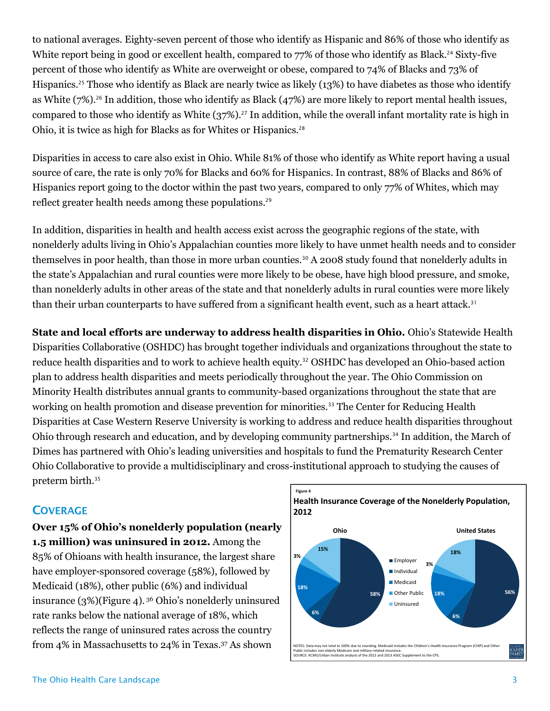to national averages. Eighty-seven percent of those who identify as Hispanic and 86% of those who identify as White report being in good or excellent health, compared to 77% of those who identify as Black.<sup>24</sup> Sixty-five percent of those who identify as White are overweight or obese, compared to 74% of Blacks and 73% of Hispanics.<sup>25</sup> Those who identify as Black are nearly twice as likely (13%) to have diabetes as those who identify as White (7%).<sup>26</sup> In addition, those who identify as Black (47%) are more likely to report mental health issues, compared to those who identify as White (37%). <sup>27</sup> In addition, while the overall infant mortality rate is high in Ohio, it is twice as high for Blacks as for Whites or Hispanics.<sup>28</sup>

Disparities in access to care also exist in Ohio. While 81% of those who identify as White report having a usual source of care, the rate is only 70% for Blacks and 60% for Hispanics. In contrast, 88% of Blacks and 86% of Hispanics report going to the doctor within the past two years, compared to only 77% of Whites, which may reflect greater health needs among these populations.<sup>29</sup>

In addition, disparities in health and health access exist across the geographic regions of the state, with nonelderly adults living in Ohio's Appalachian counties more likely to have unmet health needs and to consider themselves in poor health, than those in more urban counties.<sup>30</sup> A 2008 study found that nonelderly adults in the state's Appalachian and rural counties were more likely to be obese, have high blood pressure, and smoke, than nonelderly adults in other areas of the state and that nonelderly adults in rural counties were more likely than their urban counterparts to have suffered from a significant health event, such as a heart attack.<sup>31</sup>

**State and local efforts are underway to address health disparities in Ohio.** Ohio's Statewide Health Disparities Collaborative (OSHDC) has brought together individuals and organizations throughout the state to reduce health disparities and to work to achieve health equity.<sup>32</sup> OSHDC has developed an Ohio-based action plan to address health disparities and meets periodically throughout the year. The Ohio Commission on Minority Health distributes annual grants to community-based organizations throughout the state that are working on health promotion and disease prevention for minorities.<sup>33</sup> The Center for Reducing Health Disparities at Case Western Reserve University is working to address and reduce health disparities throughout Ohio through research and education, and by developing community partnerships.<sup>34</sup> In addition, the March of Dimes has partnered with Ohio's leading universities and hospitals to fund the Prematurity Research Center Ohio Collaborative to provide a multidisciplinary and cross-institutional approach to studying the causes of preterm birth.<sup>35</sup>

### **COVERAGE**

**Over 15% of Ohio's nonelderly population (nearly 1.5 million) was uninsured in 2012.** Among the 85% of Ohioans with health insurance, the largest share have employer-sponsored coverage (58%), followed by Medicaid (18%), other public (6%) and individual insurance (3%)(Figure 4). <sup>36</sup> Ohio's nonelderly uninsured rate ranks below the national average of 18%, which reflects the range of uninsured rates across the country from 4% in Massachusetts to 24% in Texas. Figure 4<br> **Example 19 Analy**<br>
mong the<br>
largest share<br>
followed by<br>
vidual<br>
rly uninsured<br>
%, which<br>
the country<br>
37 As shown

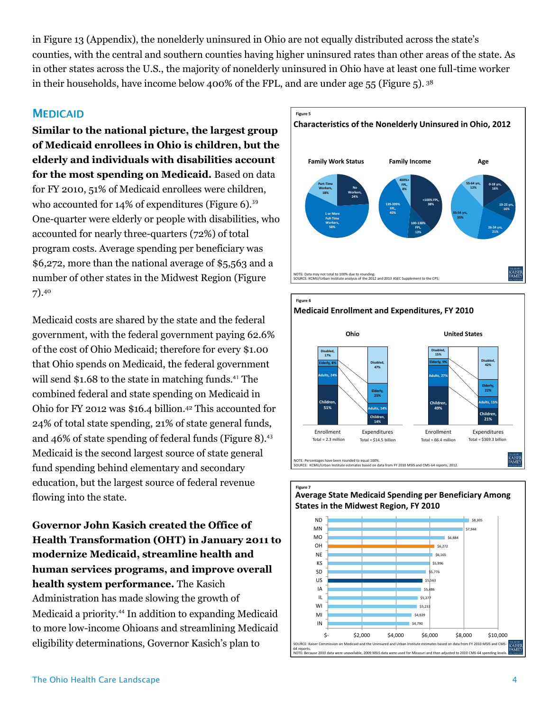in Figure 13 (Appendix), the nonelderly uninsured in Ohio are not equally distributed across the state's counties, with the central and southern counties having higher uninsured rates than other areas of the state. As in other states across the U.S., the majority of nonelderly uninsured in Ohio have at least one full-time worker in their households, have income below 400% of the FPL, and are under age 55 (Figure 5). <sup>38</sup>

### **MEDICAID**

**Similar to the national picture, the largest group of Medicaid enrollees in Ohio is children, but the elderly and individuals with disabilities account for the most spending on Medicaid.** Based on data for FY 2010, 51% of Medicaid enrollees were children, who accounted for  $14\%$  of expenditures (Figure 6).<sup>39</sup> One-quarter were elderly or people with disabilities, who accounted for nearly three-quarters (72%) of total program costs. Average spending per beneficiary was \$6,272, more than the national average of \$5,563 and a number of other states in the Midwest Region (Figure 7). 40

Medicaid costs are shared by the state and the federal government, with the federal government paying 62.6% of the cost of Ohio Medicaid; therefore for every \$1.00 that Ohio spends on Medicaid, the federal government will send  $$1.68$  to the state in matching funds.<sup>41</sup> The combined federal and state spending on Medicaid in Ohio for FY 2012 was \$16.4 billion. <sup>42</sup> This accounted for 24% of total state spending, 21% of state general funds, and 46% of state spending of federal funds (Figure 8). $43$ Medicaid is the second largest source of state general fund spending behind elementary and secondary education, but the largest source of federal revenue flowing into the state.

**Governor John Kasich created the Office of Health Transformation (OHT) in January 2011 to modernize Medicaid, streamline health and human services programs, and improve overall health system performance.** The Kasich Administration has made slowing the growth of Medicaid a priority. <sup>44</sup> In addition to expanding Medicaid to more low-income Ohioans and streamlining Medicaid eligibility determinations, Governor Kasich's plan to







## **Figure 7 Average State Medicaid Spending per Beneficiary Among**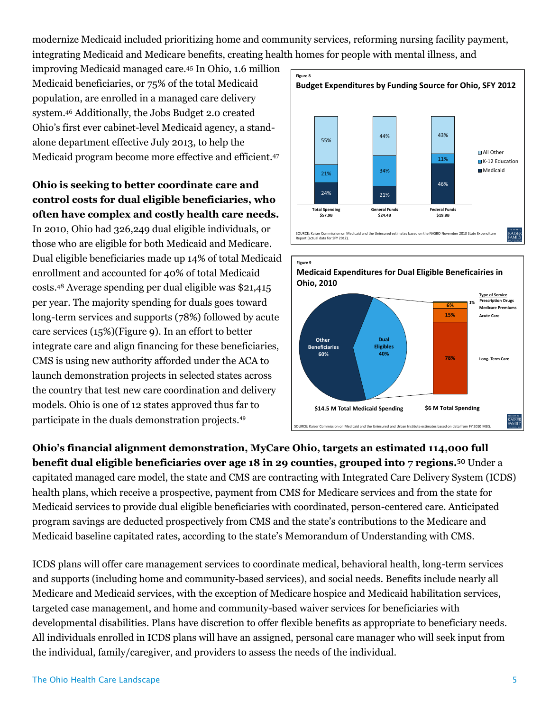modernize Medicaid included prioritizing home and community services, reforming nursing facility payment, integrating Medicaid and Medicare benefits, creating health homes for people with mental illness, and

improving Medicaid managed care.<sup>45</sup> In Ohio, 1.6 million Medicaid beneficiaries, or 75% of the total Medicaid population, are enrolled in a managed care delivery system.<sup>46</sup> Additionally, the Jobs Budget 2.0 created Ohio's first ever cabinet-level Medicaid agency, a standalone department effective July 2013, to help the Medicaid program become more effective and efficient.<sup>47</sup>

**Ohio is seeking to better coordinate care and control costs for dual eligible beneficiaries, who often have complex and costly health care needs.**

In 2010, Ohio had 326,249 dual eligible individuals, or those who are eligible for both Medicaid and Medicare. Dual eligible beneficiaries made up 14% of total Medicaid enrollment and accounted for 40% of total Medicaid costs.<sup>48</sup> Average spending per dual eligible was \$21,415 per year. The majority spending for duals goes toward long-term services and supports (78%) followed by acute care services (15%)(Figure 9). In an effort to better integrate care and align financing for these beneficiaries, CMS is using new authority afforded under the ACA to launch demonstration projects in selected states across the country that test new care coordination and delivery models. Ohio is one of 12 states approved thus far to participate in the duals demonstration projects.<sup>49</sup> Medicaid beneficiaties, or 75% of the total Medicaid<br>
System.<sup>44</sup> Additionally, the Johns Budget a: o created<br>
Obio's first ever colorinel level Medicaid agerry, as starded<br>
also first ever celubrical level Medicaid progra





**Ohio's financial alignment demonstration, MyCare Ohio, targets an estimated 114,000 full benefit dual eligible beneficiaries over age 18 in 29 counties, grouped into 7 regions.<sup>50</sup> Under a** capitated managed care model, the state and CMS are contracting with Integrated Care Delivery System (ICDS) health plans, which receive a prospective, payment from CMS for Medicare services and from the state for Medicaid services to provide dual eligible beneficiaries with coordinated, person-centered care. Anticipated program savings are deducted prospectively from CMS and the state's contributions to the Medicare and Medicaid baseline capitated rates, according to the state's Memorandum of Understanding with CMS.

ICDS plans will offer care management services to coordinate medical, behavioral health, long-term services and supports (including home and community-based services), and social needs. Benefits include nearly all Medicare and Medicaid services, with the exception of Medicare hospice and Medicaid habilitation services, targeted case management, and home and community-based waiver services for beneficiaries with developmental disabilities. Plans have discretion to offer flexible benefits as appropriate to beneficiary needs. All individuals enrolled in ICDS plans will have an assigned, personal care manager who will seek input from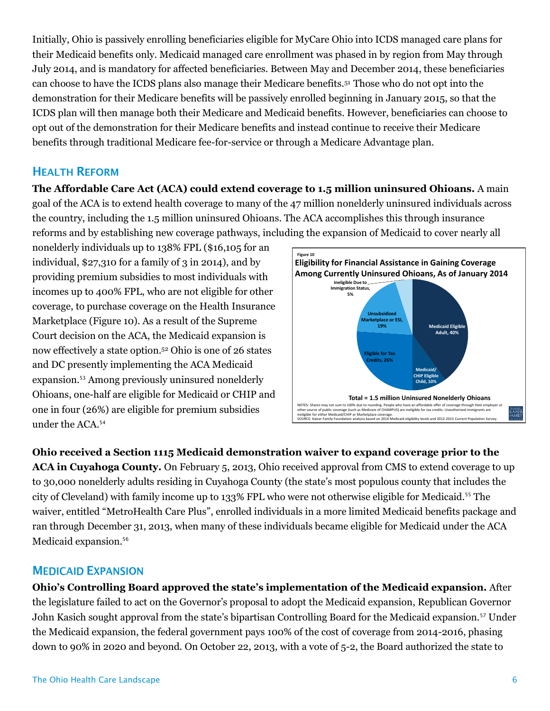Initially, Ohio is passively enrolling beneficiaries eligible for MyCare Ohio into ICDS managed care plans for their Medicaid benefits only. Medicaid managed care enrollment was phased in by region from May through July 2014, and is mandatory for affected beneficiaries. Between May and December 2014, these beneficiaries can choose to have the ICDS plans also manage their Medicare benefits.51 Those who do not opt into the demonstration for their Medicare benefits will be passively enrolled beginning in January 2015, so that the ICDS plan will then manage both their Medicare and Medicaid benefits. However, beneficiaries can choose to opt out of the demonstration for their Medicare benefits and instead continue to receive their Medicare benefits through traditional Medicare fee-for-service or through a Medicare Advantage plan.

### **HEALTH REFORM**

**The Affordable Care Act (ACA) could extend coverage to 1.5 million uninsured Ohioans.** A main goal of the ACA is to extend health coverage to many of the 47 million nonelderly uninsured individuals across the country, including the 1.5 million uninsured Ohioans. The ACA accomplishes this through insurance reforms and by establishing new coverage pathways, including the expansion of Medicaid to cover nearly all

nonelderly individuals up to 138% FPL (\$16,105 for an individual,  $$27,310$  for a family of 3 in 2014), and by providing premium subsidies to most individuals with incomes up to 400% FPL, who are not eligible for other coverage, to purchase coverage on the Health Insurance Marketplace (Figure 10). As a result of the Supreme Court decision on the ACA, the Medicaid expansion is now effectively a state option.<sup>52</sup> Ohio is one of 26 states and DC presently implementing the ACA Medicaid expansion.<sup>53</sup> Among previously uninsured nonelderly Ohioans, one-half are eligible for Medicaid or CHIP and one in four (26%) are eligible for premium subsidies under the ACA.<sup>54</sup>



**Ohio received a Section 1115 Medicaid demonstration waiver to expand coverage prior to the ACA in Cuyahoga County.** On February 5, 2013, Ohio received approval from CMS to extend coverage to up to 30,000 nonelderly adults residing in Cuyahoga County (the state's most populous county that includes the city of Cleveland) with family income up to 133% FPL who were not otherwise eligible for Medicaid.<sup>55</sup> The waiver, entitled "MetroHealth Care Plus", enrolled individuals in a more limited Medicaid benefits package and ran through December 31, 2013, when many of these individuals became eligible for Medicaid under the ACA Medicaid expansion.<sup>56</sup> ondividual, \$27,310 for a family of 3 in 2014), and by<br>
providing premative distributions with information and information with the summer of the members corrent information and information corrent information (between the

**Ohio's Controlling Board approved the state's implementation of the Medicaid expansion.** After the legislature failed to act on the Governor's proposal to adopt the Medicaid expansion, Republican Governor John Kasich sought approval from the state's bipartisan Controlling Board for the Medicaid expansion.<sup>57</sup> Under the Medicaid expansion, the federal government pays 100% of the cost of coverage from 2014-2016, phasing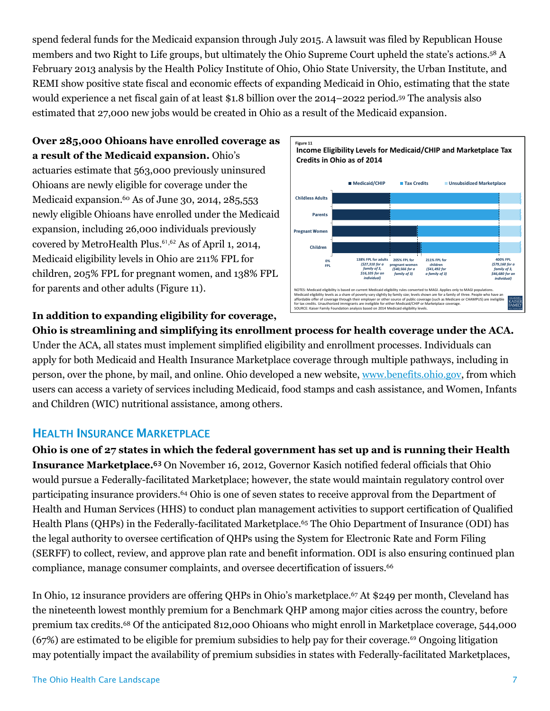spend federal funds for the Medicaid expansion through July 2015. A lawsuit was filed by Republican House members and two Right to Life groups, but ultimately the Ohio Supreme Court upheld the state's actions. <sup>58</sup> A February 2013 analysis by the Health Policy Institute of Ohio, Ohio State University, the Urban Institute, and REMI show positive state fiscal and economic effects of expanding Medicaid in Ohio, estimating that the state would experience a net fiscal gain of at least \$1.8 billion over the 2014–2022 period.<sup>59</sup> The analysis also estimated that 27,000 new jobs would be created in Ohio as a result of the Medicaid expansion.

**Over 285,000 Ohioans have enrolled coverage as a result of the Medicaid expansion.** Ohio's actuaries estimate that 563,000 previously uninsured Ohioans are newly eligible for coverage under the Medicaid expansion. <sup>60</sup> As of June 30, 2014, 285,553 newly eligible Ohioans have enrolled under the Medicaid expansion, including 26,000 individuals previously covered by MetroHealth Plus. <sup>61</sup>,<sup>62</sup> As of April 1, 2014, Medicaid eligibility levels in Ohio are 211% FPL for children, 205% FPL for pregnant women, and 138% FPL for parents and other adults (Figure 11).



### **In addition to expanding eligibility for coverage,**

**Ohio is streamlining and simplifying its enrollment process for health coverage under the ACA.**  Under the ACA, all states must implement simplified eligibility and enrollment processes. Individuals can apply for both Medicaid and Health Insurance Marketplace coverage through multiple pathways, including in person, over the phone, by mail, and online. Ohio developed a new website, [www.benefits.ohio.gov,](http://www.benefits.ohio.gov/) from which users can access a variety of services including Medicaid, food stamps and cash assistance, and Women, Infants and Children (WIC) nutritional assistance, among others.

### **HEALTH INSURANCE MARKETPLACE**

**Ohio is one of 27 states in which the federal government has set up and is running their Health Insurance Marketplace.** <sup>63</sup> On November 16, 2012, Governor Kasich notified federal officials that Ohio would pursue a Federally-facilitated Marketplace; however, the state would maintain regulatory control over participating insurance providers. <sup>64</sup> Ohio is one of seven states to receive approval from the Department of Health and Human Services (HHS) to conduct plan management activities to support certification of Qualified Health Plans (QHPs) in the Federally-facilitated Marketplace.<sup>65</sup> The Ohio Department of Insurance (ODI) has the legal authority to oversee certification of QHPs using the System for Electronic Rate and Form Filing (SERFF) to collect, review, and approve plan rate and benefit information. ODI is also ensuring continued plan compliance, manage consumer complaints, and oversee decertification of issuers.<sup>66</sup>

In Ohio, 12 insurance providers are offering QHPs in Ohio's marketplace.<sup>67</sup> At \$249 per month, Cleveland has the nineteenth lowest monthly premium for a Benchmark QHP among major cities across the country, before premium tax credits.<sup>68</sup> Of the anticipated 812,000 Ohioans who might enroll in Marketplace coverage, 544,000  $(67%)$  are estimated to be eligible for premium subsidies to help pay for their coverage.<sup>69</sup> Ongoing litigation may potentially impact the availability of premium subsidies in states with Federally-facilitated Marketplaces,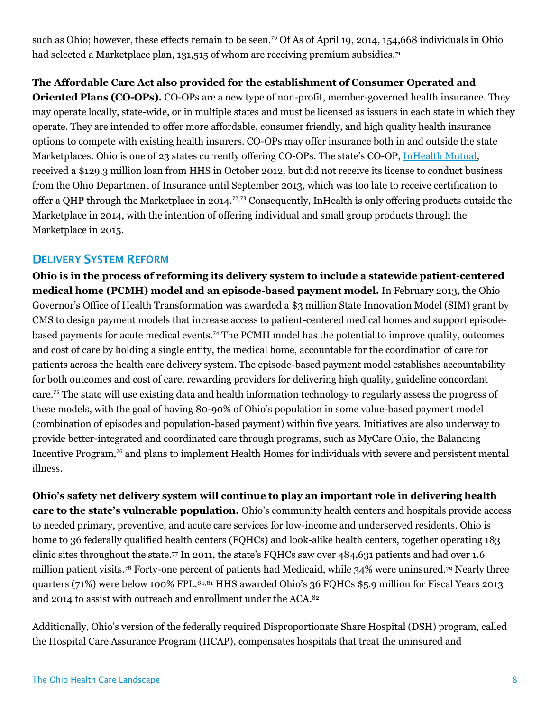such as Ohio; however, these effects remain to be seen.<sup>70</sup> Of As of April 19, 2014, 154,668 individuals in Ohio had selected a Marketplace plan, 131,515 of whom are receiving premium subsidies.<sup>71</sup>

### **The Affordable Care Act also provided for the establishment of Consumer Operated and**

**Oriented Plans (CO-OPs).** CO-OPs are a new type of non-profit, member-governed health insurance. They may operate locally, state-wide, or in multiple states and must be licensed as issuers in each state in which they operate. They are intended to offer more affordable, consumer friendly, and high quality health insurance options to compete with existing health insurers. CO-OPs may offer insurance both in and outside the state Marketplaces. Ohio is one of 23 states currently offering CO-OPs. The state's CO-OP, [InHealth Mutual,](http://inhealthohio.org/) received a \$129.3 million loan from HHS in October 2012, but did not receive its license to conduct business from the Ohio Department of Insurance until September 2013, which was too late to receive certification to offer a QHP through the Marketplace in 2014. <sup>72</sup>,<sup>73</sup> Consequently, InHealth is only offering products outside the Marketplace in 2014, with the intention of offering individual and small group products through the Marketplace in 2015.

### **DELIVERY SYSTEM REFORM**

**Ohio is in the process of reforming its delivery system to include a statewide patient-centered medical home (PCMH) model and an episode-based payment model.** In February 2013, the Ohio Governor's Office of Health Transformation was awarded a \$3 million State Innovation Model (SIM) grant by CMS to design payment models that increase access to patient-centered medical homes and support episodebased payments for acute medical events.<sup>74</sup> The PCMH model has the potential to improve quality, outcomes and cost of care by holding a single entity, the medical home, accountable for the coordination of care for patients across the health care delivery system. The episode-based payment model establishes accountability for both outcomes and cost of care, rewarding providers for delivering high quality, guideline concordant care.<sup>75</sup> The state will use existing data and health information technology to regularly assess the progress of these models, with the goal of having 80-90% of Ohio's population in some value-based payment model (combination of episodes and population-based payment) within five years. Initiatives are also underway to provide better-integrated and coordinated care through programs, such as MyCare Ohio, the Balancing Incentive Program,<sup>76</sup> and plans to implement Health Homes for individuals with severe and persistent mental illness.

**Ohio's safety net delivery system will continue to play an important role in delivering health care to the state's vulnerable population.** Ohio's community health centers and hospitals provide access to needed primary, preventive, and acute care services for low-income and underserved residents. Ohio is home to 36 federally qualified health centers (FQHCs) and look-alike health centers, together operating 183 clinic sites throughout the state.<sup>77</sup> In 2011, the state's FQHCs saw over 484,631 patients and had over 1.6 million patient visits.<sup>78</sup> Forty-one percent of patients had Medicaid, while 34% were uninsured.<sup>79</sup> Nearly three quarters (71%) were below 100% FPL.80,81 HHS awarded Ohio's 36 FQHCs \$5.9 million for Fiscal Years 2013 and 2014 to assist with outreach and enrollment under the ACA.<sup>82</sup>

Additionally, Ohio's version of the federally required Disproportionate Share Hospital (DSH) program, called the Hospital Care Assurance Program (HCAP), compensates hospitals that treat the uninsured and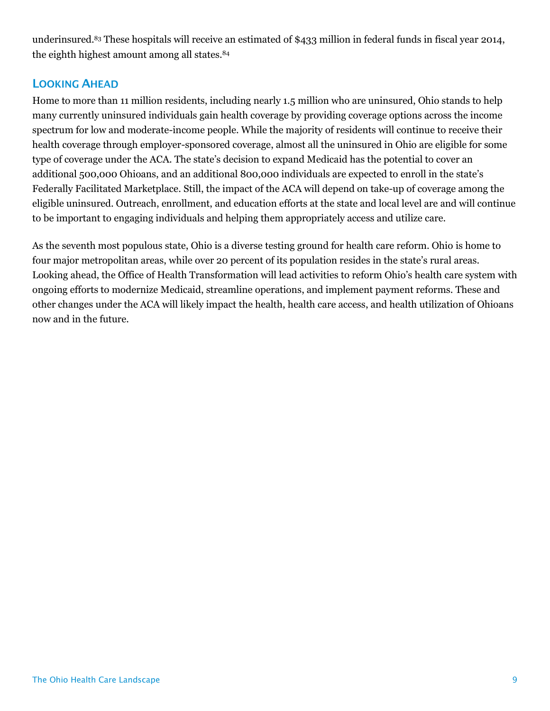underinsured.<sup>83</sup> These hospitals will receive an estimated of \$433 million in federal funds in fiscal year 2014, the eighth highest amount among all states.<sup>84</sup>

### **LOOKING AHEAD**

Home to more than 11 million residents, including nearly 1.5 million who are uninsured, Ohio stands to help many currently uninsured individuals gain health coverage by providing coverage options across the income spectrum for low and moderate-income people. While the majority of residents will continue to receive their health coverage through employer-sponsored coverage, almost all the uninsured in Ohio are eligible for some type of coverage under the ACA. The state's decision to expand Medicaid has the potential to cover an additional 500,000 Ohioans, and an additional 800,000 individuals are expected to enroll in the state's Federally Facilitated Marketplace. Still, the impact of the ACA will depend on take-up of coverage among the eligible uninsured. Outreach, enrollment, and education efforts at the state and local level are and will continue to be important to engaging individuals and helping them appropriately access and utilize care.

As the seventh most populous state, Ohio is a diverse testing ground for health care reform. Ohio is home to four major metropolitan areas, while over 20 percent of its population resides in the state's rural areas. Looking ahead, the Office of Health Transformation will lead activities to reform Ohio's health care system with ongoing efforts to modernize Medicaid, streamline operations, and implement payment reforms. These and other changes under the ACA will likely impact the health, health care access, and health utilization of Ohioans now and in the future.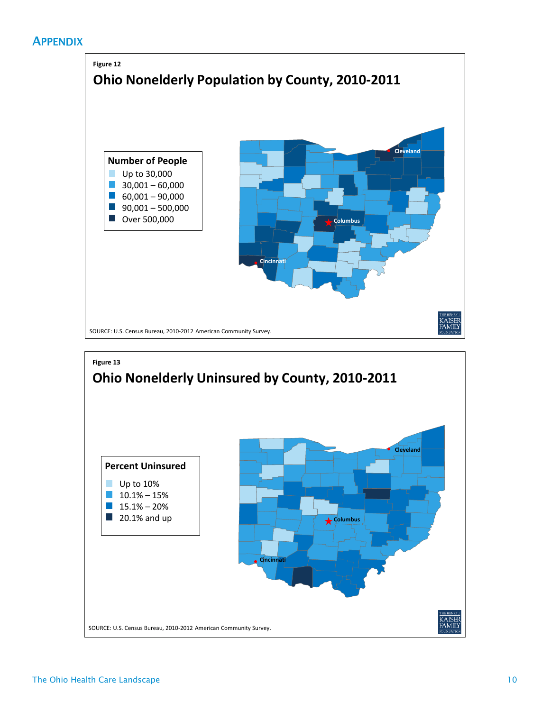### **APPENDIX**



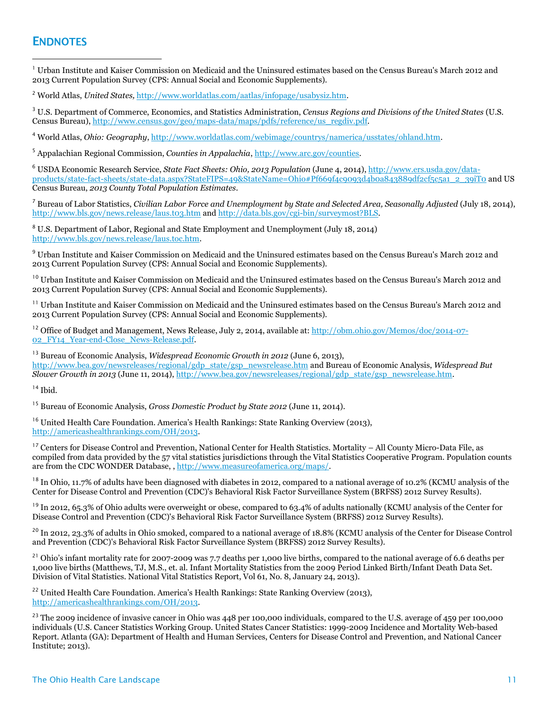### **ENDNOTES**

 $\overline{a}$ 

 $^1$  Urban Institute and Kaiser Commission on Medicaid and the Uninsured estimates based on the Census Bureau's March 2012 and 2013 Current Population Survey (CPS: Annual Social and Economic Supplements).

<sup>2</sup> World Atlas, *United States,* [http://www.worldatlas.com/aatlas/infopage/usabysiz.htm.](http://www.worldatlas.com/aatlas/infopage/usabysiz.htm)

<sup>3</sup> U.S. Department of Commerce, Economics, and Statistics Administration, *Census Regions and Divisions of the United States* (U.S. Census Bureau)[, http://www.census.gov/geo/maps-data/maps/pdfs/reference/us\\_regdiv.pdf.](http://www.census.gov/geo/maps-data/maps/pdfs/reference/us_regdiv.pdf)

<sup>4</sup> World Atlas, *Ohio: Geography*[, http://www.worldatlas.com/webimage/countrys/namerica/usstates/ohland.htm.](http://www.worldatlas.com/webimage/countrys/namerica/usstates/utland.htm) 

<sup>5</sup> Appalachian Regional Commission, *Counties in Appalachia*[, http://www.arc.gov/counties.](http://www.arc.gov/counties)

<sup>6</sup> USDA Economic Research Service, *State Fact Sheets: Ohio, 2013 Population* (June 4, 2014)[, http://www.ers.usda.gov/data](http://www.ers.usda.gov/data-products/state-fact-sheets/state-data.aspx?StateFIPS=49&StateName=Ohio#Pf669f4c9093d4b0a843889df2cf5c5a1_2_39iT0)[products/state-fact-sheets/state-data.aspx?StateFIPS=49&StateName=Ohio#Pf669f4c9093d4b0a843889df2cf5c5a1\\_2\\_39iT0](http://www.ers.usda.gov/data-products/state-fact-sheets/state-data.aspx?StateFIPS=49&StateName=Ohio#Pf669f4c9093d4b0a843889df2cf5c5a1_2_39iT0) and US Census Bureau, *2013 County Total Population Estimates*.

<sup>7</sup> Bureau of Labor Statistics, *Civilian Labor Force and Unemployment by State and Selected Area, Seasonally Adjusted* (July 18, 2014), <http://www.bls.gov/news.release/laus.t03.htm> and [http://data.bls.gov/cgi-bin/surveymost?BLS.](http://data.bls.gov/cgi-bin/surveymost?BLS)

<sup>8</sup> U.S. Department of Labor, Regional and State Employment and Unemployment (July 18, 2014) [http://www.bls.gov/news.release/laus.toc.htm.](http://www.bls.gov/news.release/laus.toc.htm)

<sup>9</sup> Urban Institute and Kaiser Commission on Medicaid and the Uninsured estimates based on the Census Bureau's March 2012 and 2013 Current Population Survey (CPS: Annual Social and Economic Supplements).

<sup>10</sup> Urban Institute and Kaiser Commission on Medicaid and the Uninsured estimates based on the Census Bureau's March 2012 and 2013 Current Population Survey (CPS: Annual Social and Economic Supplements).

<sup>11</sup> Urban Institute and Kaiser Commission on Medicaid and the Uninsured estimates based on the Census Bureau's March 2012 and 2013 Current Population Survey (CPS: Annual Social and Economic Supplements).

<sup>12</sup> Office of Budget and Management, News Release, July 2, 2014, available at: [http://obm.ohio.gov/Memos/doc/2014-07-](http://obm.ohio.gov/Memos/doc/2014-07-02_FY14_Year-end-Close_News-Release.pdf) [02\\_FY14\\_Year-end-Close\\_News-Release.pdf.](http://obm.ohio.gov/Memos/doc/2014-07-02_FY14_Year-end-Close_News-Release.pdf)

<sup>13</sup> Bureau of Economic Analysis, *Widespread Economic Growth in 2012* (June 6, 2013), [http://www.bea.gov/newsreleases/regional/gdp\\_state/gsp\\_newsrelease.htm](http://www.bea.gov/newsreleases/regional/gdp_state/gsp_newsrelease.htm) and Bureau of Economic Analysis, *Widespread But Slower Growth in 2013* (June 11, 2014)[, http://www.bea.gov/newsreleases/regional/gdp\\_state/gsp\\_newsrelease.htm.](http://www.bea.gov/newsreleases/regional/gdp_state/gsp_newsrelease.htm)

<sup>14</sup> Ibid.

<sup>15</sup> Bureau of Economic Analysis, *Gross Domestic Product by State 2012* (June 11, 2014).

<sup>16</sup> United Health Care Foundation. America's Health Rankings: State Ranking Overview (2013), [http://americashealthrankings.com/OH/2013.](http://americashealthrankings.com/OH/2013)

<sup>17</sup> Centers for Disease Control and Prevention, National Center for Health Statistics. Mortality – All County Micro-Data File, as compiled from data provided by the 57 vital statistics jurisdictions through the Vital Statistics Cooperative Program. Population counts are from the CDC WONDER Database, , [http://www.measureofamerica.org/maps/.](http://www.measureofamerica.org/maps/)

<sup>18</sup> In Ohio, 11.7% of adults have been diagnosed with diabetes in 2012, compared to a national average of 10.2% (KCMU analysis of the Center for Disease Control and Prevention (CDC)'s Behavioral Risk Factor Surveillance System (BRFSS) 2012 Survey Results).

<sup>19</sup> In 2012, 65.3% of Ohio adults were overweight or obese, compared to 63.4% of adults nationally (KCMU analysis of the Center for Disease Control and Prevention (CDC)'s Behavioral Risk Factor Surveillance System (BRFSS) 2012 Survey Results).

<sup>20</sup> In 2012, 23.3% of adults in Ohio smoked, compared to a national average of 18.8% (KCMU analysis of the Center for Disease Control and Prevention (CDC)'s Behavioral Risk Factor Surveillance System (BRFSS) 2012 Survey Results).

<sup>21</sup> Ohio's infant mortality rate for 2007-2009 was 7.7 deaths per 1,000 live births, compared to the national average of 6.6 deaths per 1,000 live births (Matthews, TJ, M.S., et. al. Infant Mortality Statistics from the 2009 Period Linked Birth/Infant Death Data Set. Division of Vital Statistics. National Vital Statistics Report, Vol 61, No. 8, January 24, 2013).

<sup>22</sup> United Health Care Foundation. America's Health Rankings: State Ranking Overview (2013), [http://americashealthrankings.com/OH/2013.](http://americashealthrankings.com/OH/2013)

<sup>23</sup> The 2009 incidence of invasive cancer in Ohio was 448 per 100,000 individuals, compared to the U.S. average of 459 per 100,000 individuals (U.S. Cancer Statistics Working Group. United States Cancer Statistics: 1999-2009 Incidence and Mortality Web-based Report. Atlanta (GA): Department of Health and Human Services, Centers for Disease Control and Prevention, and National Cancer Institute; 2013).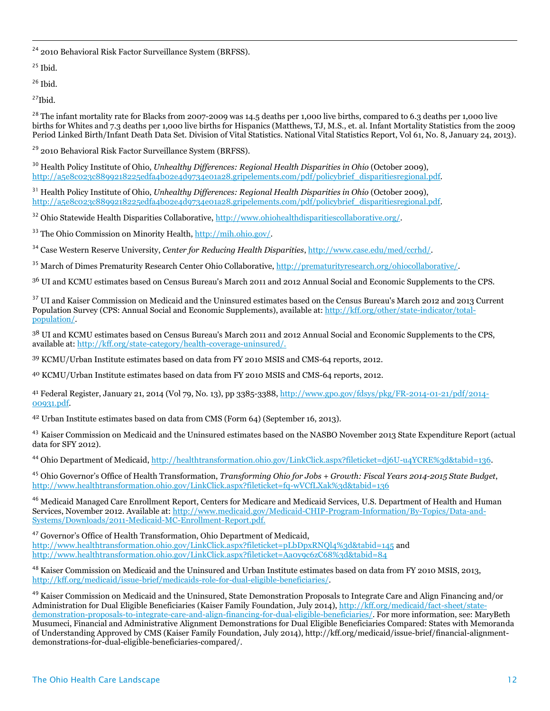<sup>24</sup> 2010 Behavioral Risk Factor Surveillance System (BRFSS).

 $25$  Ibid.

 $\overline{a}$ 

 $26$  Ibid.

 $27$ Ibid.

 $^{28}$  The infant mortality rate for Blacks from 2007-2009 was 14.5 deaths per 1,000 live births, compared to 6.3 deaths per 1,000 live births for Whites and 7.3 deaths per 1,000 live births for Hispanics (Matthews, TJ, M.S., et. al. Infant Mortality Statistics from the 2009 Period Linked Birth/Infant Death Data Set. Division of Vital Statistics. National Vital Statistics Report, Vol 61, No. 8, January 24, 2013).

<sup>29</sup> 2010 Behavioral Risk Factor Surveillance System (BRFSS).

<sup>30</sup> Health Policy Institute of Ohio, *Unhealthy Differences: Regional Health Disparities in Ohio* (October 2009), [http://a5e8c023c8899218225edfa4b02e4d9734e01a28.gripelements.com/pdf/policybrief\\_disparitiesregional.pdf.](http://a5e8c023c8899218225edfa4b02e4d9734e01a28.gripelements.com/pdf/policybrief_disparitiesregional.pdf)

<sup>31</sup> Health Policy Institute of Ohio, *Unhealthy Differences: Regional Health Disparities in Ohio* (October 2009), [http://a5e8c023c8899218225edfa4b02e4d9734e01a28.gripelements.com/pdf/policybrief\\_disparitiesregional.pdf.](http://a5e8c023c8899218225edfa4b02e4d9734e01a28.gripelements.com/pdf/policybrief_disparitiesregional.pdf) 

<sup>32</sup> Ohio Statewide Health Disparities Collaborative, [http://www.ohiohealthdisparitiescollaborative.org/.](http://www.ohiohealthdisparitiescollaborative.org/)

<sup>33</sup> The Ohio Commission on Minority Health, [http://mih.ohio.gov/.](http://mih.ohio.gov/) 

<sup>34</sup> Case Western Reserve University, *Center for Reducing Health Disparities*[, http://www.case.edu/med/ccrhd/.](http://www.case.edu/med/ccrhd/)

<sup>35</sup> March of Dimes Prematurity Research Center Ohio Collaborative[, http://prematurityresearch.org/ohiocollaborative/.](http://prematurityresearch.org/ohiocollaborative/)

<sup>36</sup> UI and KCMU estimates based on Census Bureau's March 2011 and 2012 Annual Social and Economic Supplements to the CPS.

<sup>37</sup> UI and Kaiser Commission on Medicaid and the Uninsured estimates based on the Census Bureau's March 2012 and 2013 Current Population Survey (CPS: Annual Social and Economic Supplements), available at: [http://kff.org/other/state-indicator/total](http://kff.org/other/state-indicator/total-population/)[population/.](http://kff.org/other/state-indicator/total-population/)

<sup>38</sup> UI and KCMU estimates based on Census Bureau's March 2011 and 2012 Annual Social and Economic Supplements to the CPS, available at: [http://kff.org/state-category/health-coverage-uninsured/.](http://kff.org/state-category/health-coverage-uninsured/)

<sup>39</sup> KCMU/Urban Institute estimates based on data from FY 2010 MSIS and CMS-64 reports, 2012.

<sup>40</sup> KCMU/Urban Institute estimates based on data from FY 2010 MSIS and CMS-64 reports, 2012.

<sup>41</sup> Federal Register, January 21, 2014 (Vol 79, No. 13), pp 3385-3388, [http://www.gpo.gov/fdsys/pkg/FR-2014-01-21/pdf/2014-](http://www.gpo.gov/fdsys/pkg/FR-2014-01-21/pdf/2014-00931.pdf) [00931.pdf.](http://www.gpo.gov/fdsys/pkg/FR-2014-01-21/pdf/2014-00931.pdf)

<sup>42</sup> Urban Institute estimates based on data from CMS (Form 64) (September 16, 2013).

<sup>43</sup> Kaiser Commission on Medicaid and the Uninsured estimates based on the NASBO November 2013 State Expenditure Report (actual data for SFY 2012).

<sup>44</sup> Ohio Department of Medicaid[, http://healthtransformation.ohio.gov/LinkClick.aspx?fileticket=dj6U-u4YCRE%3d&tabid=136.](http://healthtransformation.ohio.gov/LinkClick.aspx?fileticket=dj6U-u4YCRE%3d&tabid=136)

<sup>45</sup> Ohio Governor's Office of Health Transformation, *Transforming Ohio for Jobs + Growth: Fiscal Years 2014-2015 State Budget*, <http://www.healthtransformation.ohio.gov/LinkClick.aspx?fileticket=fq-wVCfLXak%3d&tabid=136>

<sup>46</sup> Medicaid Managed Care Enrollment Report, Centers for Medicare and Medicaid Services, U.S. Department of Health and Human Services, November 2012. Available at: [http://www.medicaid.gov/Medicaid-CHIP-Program-Information/By-Topics/Data-and-](http://www.medicaid.gov/Medicaid-CHIP-Program-Information/By-Topics/Data-and-Systems/Downloads/2011-Medicaid-MC-Enrollment-Report.pdf)[Systems/Downloads/2011-Medicaid-MC-Enrollment-Report.pdf.](http://www.medicaid.gov/Medicaid-CHIP-Program-Information/By-Topics/Data-and-Systems/Downloads/2011-Medicaid-MC-Enrollment-Report.pdf)

<sup>47</sup> Governor's Office of Health Transformation, Ohio Department of Medicaid, <http://www.healthtransformation.ohio.gov/LinkClick.aspx?fileticket=pLbDpxRNQl4%3d&tabid=145> and <http://www.healthtransformation.ohio.gov/LinkClick.aspx?fileticket=Aa0y9c6zC68%3d&tabid=84>

<sup>48</sup> Kaiser Commission on Medicaid and the Uninsured and Urban Institute estimates based on data from FY 2010 MSIS, 2013, [http://kff.org/medicaid/issue-brief/medicaids-role-for-dual-eligible-beneficiaries/.](http://kff.org/medicaid/issue-brief/medicaids-role-for-dual-eligible-beneficiaries/)

<sup>49</sup> Kaiser Commission on Medicaid and the Uninsured, State Demonstration Proposals to Integrate Care and Align Financing and/or Administration for Dual Eligible Beneficiaries (Kaiser Family Foundation, July 2014), [http://kff.org/medicaid/fact-sheet/state](http://kff.org/medicaid/fact-sheet/state-demonstration-proposals-to-integrate-care-and-align-financing-for-dual-eligible-beneficiaries/)[demonstration-proposals-to-integrate-care-and-align-financing-for-dual-eligible-beneficiaries/.](http://kff.org/medicaid/fact-sheet/state-demonstration-proposals-to-integrate-care-and-align-financing-for-dual-eligible-beneficiaries/) For more information, see: MaryBeth Musumeci, Financial and Administrative Alignment Demonstrations for Dual Eligible Beneficiaries Compared: States with Memoranda of Understanding Approved by CMS (Kaiser Family Foundation, July 2014), http://kff.org/medicaid/issue-brief/financial-alignmentdemonstrations-for-dual-eligible-beneficiaries-compared/.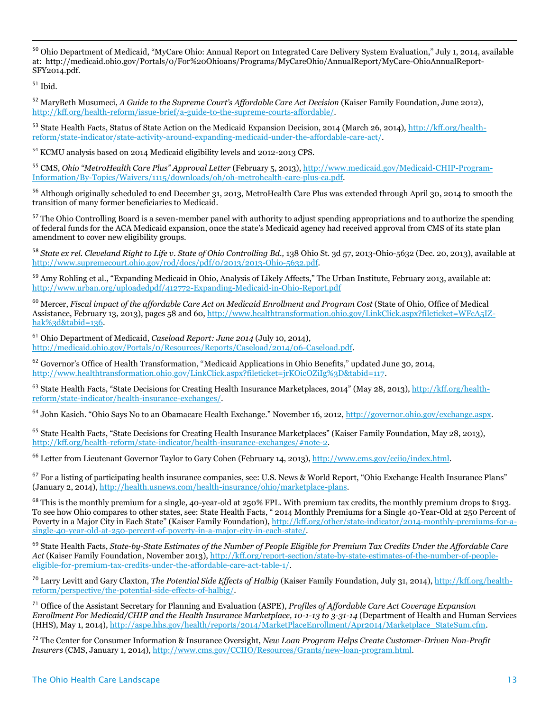<sup>50</sup> Ohio Department of Medicaid, "MyCare Ohio: Annual Report on Integrated Care Delivery System Evaluation," July 1, 2014, available at: http://medicaid.ohio.gov/Portals/0/For%20Ohioans/Programs/MyCareOhio/AnnualReport/MyCare-OhioAnnualReport-SFY2014.pdf.

 $^{\rm 51}$  Ibid.

 $\overline{a}$ 

<sup>52</sup> MaryBeth Musumeci, *A Guide to the Supreme Court's Affordable Care Act Decision* (Kaiser Family Foundation, June 2012), [http://kff.org/health-reform/issue-brief/a-guide-to-the-supreme-courts-affordable/.](http://kff.org/health-reform/issue-brief/a-guide-to-the-supreme-courts-affordable/)

<sup>53</sup> State Health Facts, Status of State Action on the Medicaid Expansion Decision, 2014 (March 26, 2014), [http://kff.org/health](http://kff.org/health-reform/state-indicator/state-activity-around-expanding-medicaid-under-the-affordable-care-act/)[reform/state-indicator/state-activity-around-expanding-medicaid-under-the-affordable-care-act/.](http://kff.org/health-reform/state-indicator/state-activity-around-expanding-medicaid-under-the-affordable-care-act/)

<sup>54</sup> KCMU analysis based on 2014 Medicaid eligibility levels and 2012-2013 CPS.

<sup>55</sup> CMS, *Ohio "MetroHealth Care Plus" Approval Letter* (February 5, 2013)[, http://www.medicaid.gov/Medicaid-CHIP-Program-](http://www.medicaid.gov/Medicaid-CHIP-Program-Information/By-Topics/Waivers/1115/downloads/oh/oh-metrohealth-care-plus-ca.pdf)[Information/By-Topics/Waivers/1115/downloads/oh/oh-metrohealth-care-plus-ca.pdf.](http://www.medicaid.gov/Medicaid-CHIP-Program-Information/By-Topics/Waivers/1115/downloads/oh/oh-metrohealth-care-plus-ca.pdf)

<sup>56</sup> Although originally scheduled to end December 31, 2013, MetroHealth Care Plus was extended through April 30, 2014 to smooth the transition of many former beneficiaries to Medicaid.

<sup>57</sup> The Ohio Controlling Board is a seven-member panel with authority to adjust spending appropriations and to authorize the spending of federal funds for the ACA Medicaid expansion, once the state's Medicaid agency had received approval from CMS of its state plan amendment to cover new eligibility groups.

<sup>58</sup> State ex rel. Cleveland Right to Life v. State of Ohio Controlling Bd., 138 Ohio St. 3d 57, 2013-Ohio-5632 (Dec. 20, 2013), available at [http://www.supremecourt.ohio.gov/rod/docs/pdf/0/2013/2013-Ohio-5632.pdf.](http://www.supremecourt.ohio.gov/rod/docs/pdf/0/2013/2013-Ohio-5632.pdf)

<sup>59</sup> Amy Rohling et al., "Expanding Medicaid in Ohio, Analysis of Likely Affects," The Urban Institute, February 2013, available at: <http://www.urban.org/uploadedpdf/412772-Expanding-Medicaid-in-Ohio-Report.pdf>

<sup>60</sup> Mercer, *Fiscal impact of the affordable Care Act on Medicaid Enrollment and Program Cost* (State of Ohio, Office of Medical Assistance, February 13, 2013), pages 58 and 60, [http://www.healthtransformation.ohio.gov/LinkClick.aspx?fileticket=WFcA5IZ](http://www.healthtransformation.ohio.gov/LinkClick.aspx?fileticket=WFcA5IZ-hak%3d&tabid=136)[hak%3d&tabid=136.](http://www.healthtransformation.ohio.gov/LinkClick.aspx?fileticket=WFcA5IZ-hak%3d&tabid=136)

<sup>61</sup> Ohio Department of Medicaid, *Caseload Report: June 2014* (July 10, 2014), [http://medicaid.ohio.gov/Portals/0/Resources/Reports/Caseload/2014/06-Caseload.pdf.](http://medicaid.ohio.gov/Portals/0/Resources/Reports/Caseload/2014/06-Caseload.pdf)

<sup>62</sup> Governor's Office of Health Transformation, "Medicaid Applications in Ohio Benefits," updated June 30, 2014, [http://www.healthtransformation.ohio.gov/LinkClick.aspx?fileticket=jrKOicOZiIg%3D&tabid=117.](http://www.healthtransformation.ohio.gov/LinkClick.aspx?fileticket=jrKOicOZiIg%3D&tabid=117)

 $63$  State Health Facts, "State Decisions for Creating Health Insurance Marketplaces, 2014" (May 28, 2013)[, http://kff.org/health](http://kff.org/health-reform/state-indicator/health-insurance-exchanges/)[reform/state-indicator/health-insurance-exchanges/.](http://kff.org/health-reform/state-indicator/health-insurance-exchanges/)

<sup>64</sup> John Kasich. "Ohio Says No to an Obamacare Health Exchange." November 16, 2012, [http://governor.ohio.gov/exchange.aspx.](http://governor.ohio.gov/exchange.aspx)

<sup>65</sup> State Health Facts, "State Decisions for Creating Health Insurance Marketplaces" (Kaiser Family Foundation, May 28, 2013), [http://kff.org/health-reform/state-indicator/health-insurance-exchanges/#note-2.](http://kff.org/health-reform/state-indicator/health-insurance-exchanges/#note-2)

<sup>66</sup> Letter from Lieutenant Governor Taylor to Gary Cohen (February 14, 2013), [http://www.cms.gov/cciio/index.html.](http://www.cms.gov/cciio/index.html)

<sup>67</sup> For a listing of participating health insurance companies, see: U.S. News & World Report, "Ohio Exchange Health Insurance Plans" (January 2, 2014), [http://health.usnews.com/health-insurance/ohio/marketplace-plans.](http://health.usnews.com/health-insurance/ohio/marketplace-plans)

 $68$  This is the monthly premium for a single, 40-year-old at 250% FPL. With premium tax credits, the monthly premium drops to \$193. To see how Ohio compares to other states, see: State Health Facts, " 2014 Monthly Premiums for a Single 40-Year-Old at 250 Percent of Poverty in a Major City in Each State" (Kaiser Family Foundation), [http://kff.org/other/state-indicator/2014-monthly-premiums-for-a](http://kff.org/other/state-indicator/2014-monthly-premiums-for-a-single-40-year-old-at-250-percent-of-poverty-in-a-major-city-in-each-state/)[single-40-year-old-at-250-percent-of-poverty-in-a-major-city-in-each-state/.](http://kff.org/other/state-indicator/2014-monthly-premiums-for-a-single-40-year-old-at-250-percent-of-poverty-in-a-major-city-in-each-state/)

<sup>69</sup> State Health Facts, *State-by-State Estimates of the Number of People Eligible for Premium Tax Credits Under the Affordable Care Act* (Kaiser Family Foundation, November 2013), [http://kff.org/report-section/state-by-state-estimates-of-the-number-of-people](http://kff.org/report-section/state-by-state-estimates-of-the-number-of-people-eligible-for-premium-tax-credits-under-the-affordable-care-act-table-1/)[eligible-for-premium-tax-credits-under-the-affordable-care-act-table-1/.](http://kff.org/report-section/state-by-state-estimates-of-the-number-of-people-eligible-for-premium-tax-credits-under-the-affordable-care-act-table-1/) 

<sup>70</sup> Larry Levitt and Gary Claxton, *The Potential Side Effects of Halbig* (Kaiser Family Foundation, July 31, 2014), [http://kff.org/health](http://kff.org/health-reform/perspective/the-potential-side-effects-of-halbig/)[reform/perspective/the-potential-side-effects-of-halbig/.](http://kff.org/health-reform/perspective/the-potential-side-effects-of-halbig/) 

<sup>71</sup> Office of the Assistant Secretary for Planning and Evaluation (ASPE), *Profiles of Affordable Care Act Coverage Expansion Enrollment For Medicaid/CHIP and the Health Insurance Marketplace, 10-1-13 to 3-31-14* (Department of Health and Human Services (HHS), May 1, 2014), [http://aspe.hhs.gov/health/reports/2014/MarketPlaceEnrollment/Apr2014/Marketplace\\_StateSum.cfm.](http://aspe.hhs.gov/health/reports/2014/MarketPlaceEnrollment/Apr2014/Marketplace_StateSum.cfm)

<sup>72</sup> The Center for Consumer Information & Insurance Oversight, *New Loan Program Helps Create Customer-Driven Non-Profit Insurers* (CMS, January 1, 2014), [http://www.cms.gov/CCIIO/Resources/Grants/new-loan-program.html.](http://www.cms.gov/CCIIO/Resources/Grants/new-loan-program.html)